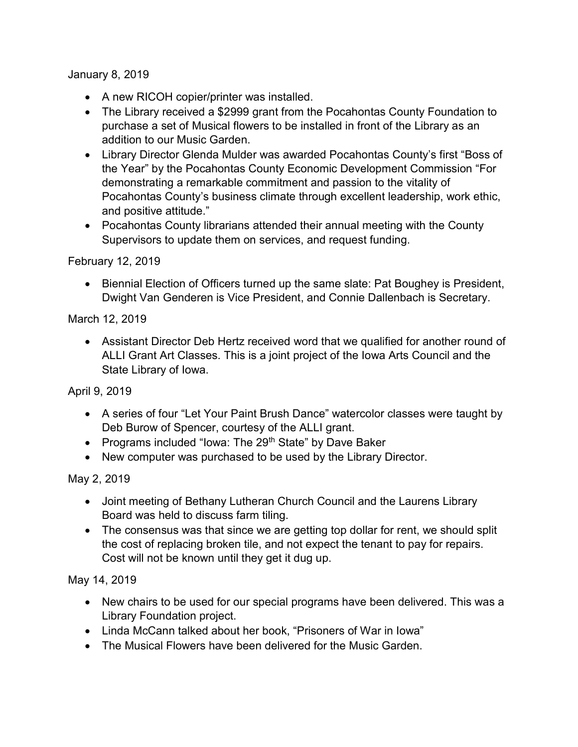January 8, 2019

- A new RICOH copier/printer was installed.
- The Library received a \$2999 grant from the Pocahontas County Foundation to purchase a set of Musical flowers to be installed in front of the Library as an addition to our Music Garden.
- Library Director Glenda Mulder was awarded Pocahontas County's first "Boss of the Year" by the Pocahontas County Economic Development Commission "For demonstrating a remarkable commitment and passion to the vitality of Pocahontas County's business climate through excellent leadership, work ethic, and positive attitude."
- Pocahontas County librarians attended their annual meeting with the County Supervisors to update them on services, and request funding.

## February 12, 2019

• Biennial Election of Officers turned up the same slate: Pat Boughey is President, Dwight Van Genderen is Vice President, and Connie Dallenbach is Secretary.

## March 12, 2019

 Assistant Director Deb Hertz received word that we qualified for another round of ALLI Grant Art Classes. This is a joint project of the Iowa Arts Council and the State Library of Iowa.

April 9, 2019

- A series of four "Let Your Paint Brush Dance" watercolor classes were taught by Deb Burow of Spencer, courtesy of the ALLI grant.
- Programs included "Iowa: The 29<sup>th</sup> State" by Dave Baker
- New computer was purchased to be used by the Library Director.

## May 2, 2019

- Joint meeting of Bethany Lutheran Church Council and the Laurens Library Board was held to discuss farm tiling.
- The consensus was that since we are getting top dollar for rent, we should split the cost of replacing broken tile, and not expect the tenant to pay for repairs. Cost will not be known until they get it dug up.

May 14, 2019

- New chairs to be used for our special programs have been delivered. This was a Library Foundation project.
- Linda McCann talked about her book, "Prisoners of War in Iowa"
- The Musical Flowers have been delivered for the Music Garden.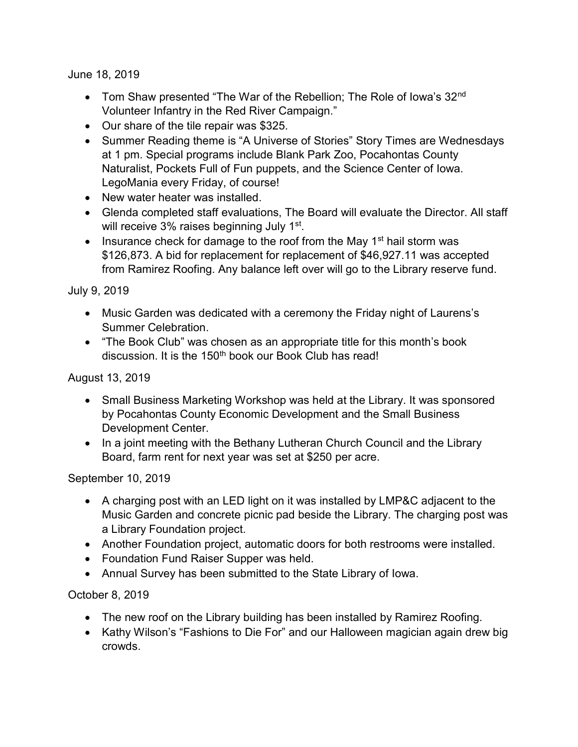June 18, 2019

- Tom Shaw presented "The War of the Rebellion; The Role of Iowa's 32<sup>nd</sup> Volunteer Infantry in the Red River Campaign."
- Our share of the tile repair was \$325.
- Summer Reading theme is "A Universe of Stories" Story Times are Wednesdays at 1 pm. Special programs include Blank Park Zoo, Pocahontas County Naturalist, Pockets Full of Fun puppets, and the Science Center of Iowa. LegoMania every Friday, of course!
- New water heater was installed.
- Glenda completed staff evaluations, The Board will evaluate the Director. All staff will receive 3% raises beginning July 1<sup>st</sup>.
- Insurance check for damage to the roof from the May 1<sup>st</sup> hail storm was \$126,873. A bid for replacement for replacement of \$46,927.11 was accepted from Ramirez Roofing. Any balance left over will go to the Library reserve fund.

July 9, 2019

- Music Garden was dedicated with a ceremony the Friday night of Laurens's Summer Celebration.
- "The Book Club" was chosen as an appropriate title for this month's book discussion. It is the 150<sup>th</sup> book our Book Club has read!

August 13, 2019

- Small Business Marketing Workshop was held at the Library. It was sponsored by Pocahontas County Economic Development and the Small Business Development Center.
- In a joint meeting with the Bethany Lutheran Church Council and the Library Board, farm rent for next year was set at \$250 per acre.

September 10, 2019

- A charging post with an LED light on it was installed by LMP&C adjacent to the Music Garden and concrete picnic pad beside the Library. The charging post was a Library Foundation project.
- Another Foundation project, automatic doors for both restrooms were installed.
- Foundation Fund Raiser Supper was held.
- Annual Survey has been submitted to the State Library of Iowa.

October 8, 2019

- The new roof on the Library building has been installed by Ramirez Roofing.
- Kathy Wilson's "Fashions to Die For" and our Halloween magician again drew big crowds.